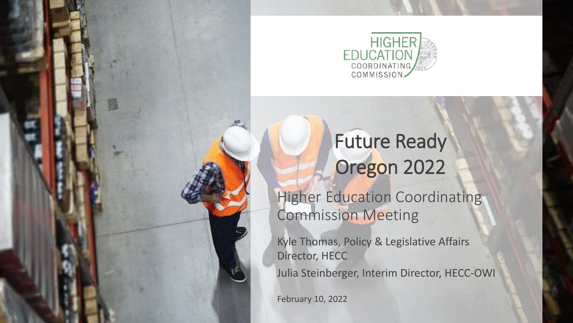

## Future Ready Oregon 2022

**Higher Education Coordinating** Commission Meeting

Kyle Thomas, Policy & Legislative Affairs Director, HECC

Julia Steinberger, Interim Director, HECC-OWI

February 10, 2022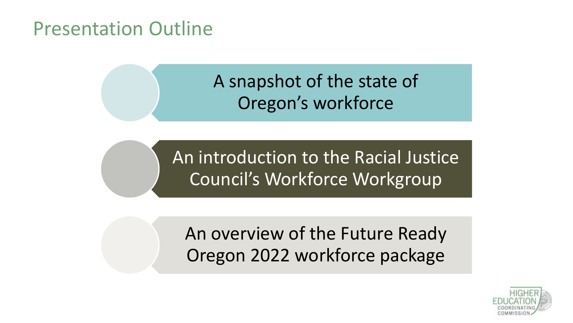### Presentation Outline

### A snapshot of the state of Oregon's workforce

An introduction to the Racial Justice Council's Workforce Workgroup

An overview of the Future Ready Oregon 2022 workforce package

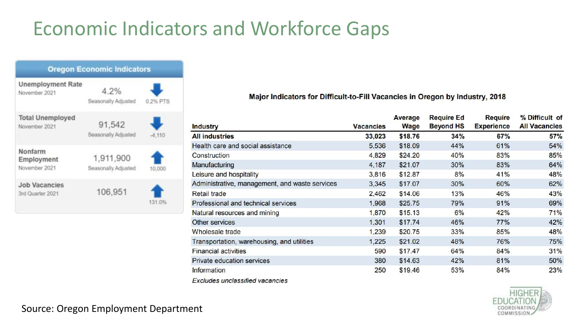## Economic Indicators and Workforce Gaps



#### Major Indicators for Difficult-to-Fill Vacancies in Oregon by Industry, 2018

|                                                |                  | Average | <b>Require Ed</b> | Require           | % Difficult of       |
|------------------------------------------------|------------------|---------|-------------------|-------------------|----------------------|
| <b>Industry</b>                                | <b>Vacancies</b> | Wage    | <b>Beyond HS</b>  | <b>Experience</b> | <b>All Vacancies</b> |
| <b>All industries</b>                          | 33,023           | \$18.76 | 34%               | 67%               | 57%                  |
| Health care and social assistance              | 5,536            | \$18.09 | 44%               | 61%               | 54%                  |
| Construction                                   | 4,829            | \$24.20 | 40%               | 83%               | 85%                  |
| Manufacturing                                  | 4,187            | \$21.07 | 30%               | 83%               | 64%                  |
| Leisure and hospitality                        | 3,816            | \$12.87 | 8%                | 41%               | 48%                  |
| Administrative, management, and waste services | 3,345            | \$17.07 | 30%               | 60%               | 62%                  |
| <b>Retail trade</b>                            | 2,462            | \$14.06 | 13%               | 46%               | 43%                  |
| Professional and technical services            | 1,968            | \$25.75 | 79%               | 91%               | 69%                  |
| Natural resources and mining                   | 1,870            | \$15.13 | 6%                | 42%               | 71%                  |
| Other services                                 | 1,301            | \$17.74 | 46%               | 77%               | 42%                  |
| Wholesale trade                                | 1,239            | \$20.75 | 33%               | 85%               | 48%                  |
| Transportation, warehousing, and utilities     | 1,225            | \$21.02 | 48%               | 76%               | 75%                  |
| <b>Financial activities</b>                    | 590              | \$17.47 | 64%               | 84%               | 31%                  |
| Private education services                     | 380              | \$14.63 | 42%               | 81%               | 50%                  |
| Information                                    | 250              | \$19.46 | 53%               | 84%               | 23%                  |
| <b>Excludes unclassified vacancies</b>         |                  |         |                   |                   |                      |



Source: Oregon Employment Department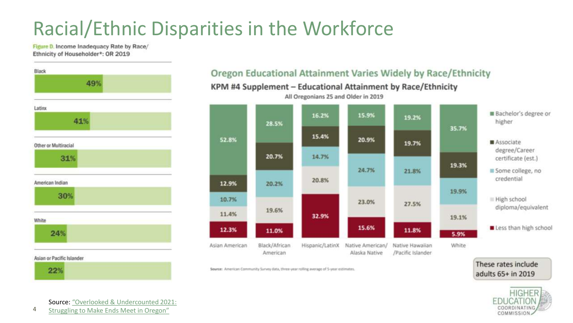## Racial/Ethnic Disparities in the Workforce

Figure D. Income Inadequacy Rate by Race/ Ethnicity of Householder\*: OR 2019



#### Oregon Educational Attainment Varies Widely by Race/Ethnicity

KPM #4 Supplement - Educational Attainment by Race/Ethnicity



These rates include

adults 65+ in 2019

**HIGHER** 

COORDINATING COMMISSION.

All Oregonians 25 and Older in 2019

Source: American Community Survey data, three-year rolling average of 5-year estimates.

Source: "Overlooked & Undercounted 2021: Struggling to Make Ends Meet in Oregon"

4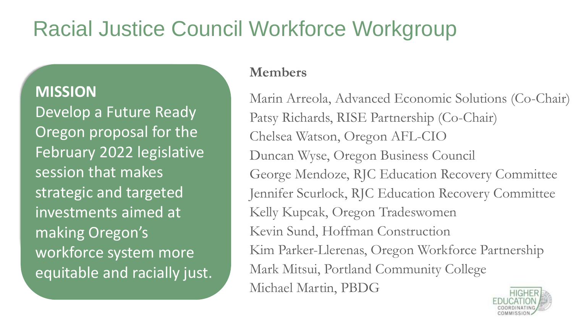## Racial Justice Council Workforce Workgroup

#### **MISSION**

Develop a Future Ready Oregon proposal for the February 2022 legislative session that makes strategic and targeted investments aimed at making Oregon's workforce system more equitable and racially just.

#### **Members**

Marin Arreola, Advanced Economic Solutions (Co-Chair) Patsy Richards, RISE Partnership (Co-Chair) Chelsea Watson, Oregon AFL-CIO Duncan Wyse, Oregon Business Council George Mendoze, RJC Education Recovery Committee Jennifer Scurlock, RJC Education Recovery Committee Kelly Kupcak, Oregon Tradeswomen Kevin Sund, Hoffman Construction Kim Parker-Llerenas, Oregon Workforce Partnership Mark Mitsui, Portland Community College Michael Martin, PBDG

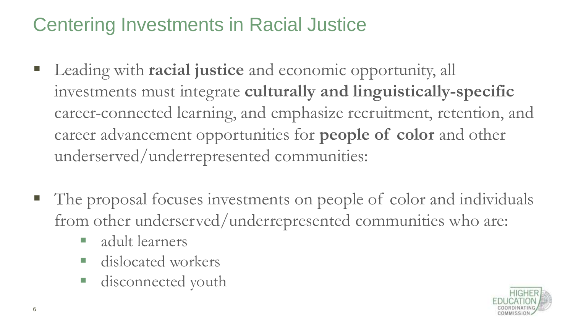## Centering Investments in Racial Justice

- Leading with **racial justice** and economic opportunity, all investments must integrate **culturally and linguistically-specific**  career-connected learning, and emphasize recruitment, retention, and career advancement opportunities for **people of color** and other underserved/underrepresented communities:
- The proposal focuses investments on people of color and individuals from other underserved/underrepresented communities who are:
	- adult learners
	- dislocated workers
	- disconnected youth

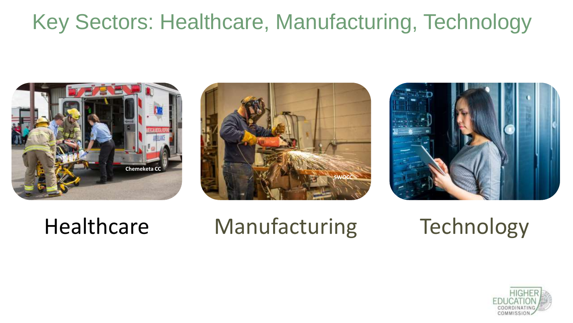## Key Sectors: Healthcare, Manufacturing, Technology







# Healthcare Manufacturing Technology

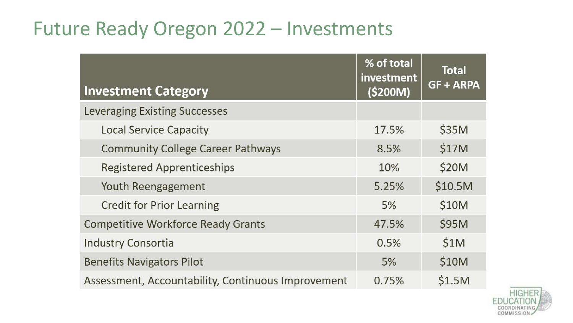## Future Ready Oregon 2022 – Investments

| <b>Investment Category</b>                         | % of total<br>investment<br>(\$200M) | <b>Total</b><br><b>GF + ARPA</b> |
|----------------------------------------------------|--------------------------------------|----------------------------------|
| <b>Leveraging Existing Successes</b>               |                                      |                                  |
| <b>Local Service Capacity</b>                      | 17.5%                                | \$35M                            |
| <b>Community College Career Pathways</b>           | 8.5%                                 | \$17M                            |
| Registered Apprenticeships                         | 10%                                  | \$20M                            |
| Youth Reengagement                                 | 5.25%                                | \$10.5M                          |
| <b>Credit for Prior Learning</b>                   | 5%                                   | \$10M                            |
| <b>Competitive Workforce Ready Grants</b>          | 47.5%                                | \$95M                            |
| <b>Industry Consortia</b>                          | 0.5%                                 | \$1M                             |
| <b>Benefits Navigators Pilot</b>                   | 5%                                   | \$10M                            |
| Assessment, Accountability, Continuous Improvement | 0.75%                                | \$1.5M                           |

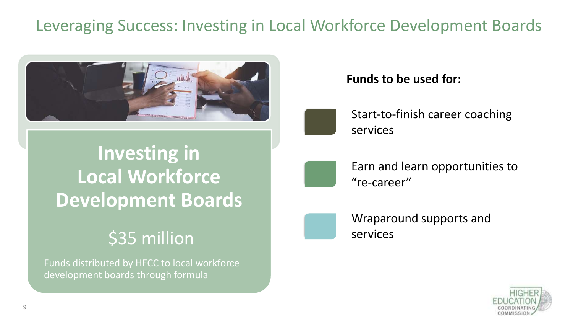### Leveraging Success: Investing in Local Workforce Development Boards



## **Investing in Local Workforce Development Boards**

### \$35 million

Funds distributed by HECC to local workforce development boards through formula

#### **Funds to be used for:**



Start-to-finish career coaching services

Earn and learn opportunities to "re-career"



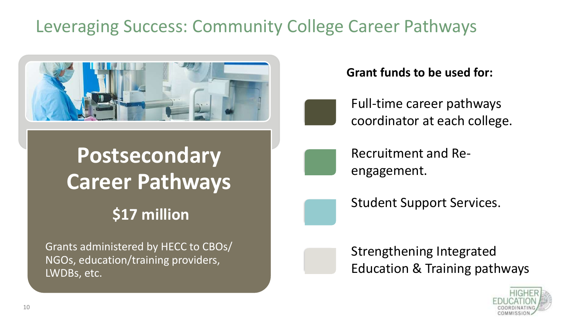### Leveraging Success: Community College Career Pathways



# **Postsecondary Career Pathways**

### **\$17 million**

Grants administered by HECC to CBOs/ NGOs, education/training providers, LWDBs, etc.

#### **Grant funds to be used for:**

Full-time career pathways coordinator at each college.



- Recruitment and Reengagement.
- Student Support Services.

### Strengthening Integrated Education & Training pathways

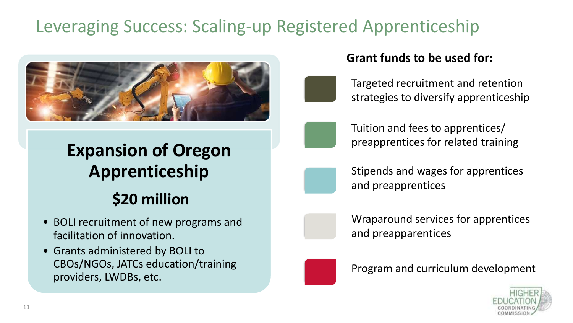### Leveraging Success: Scaling-up Registered Apprenticeship



### **Expansion of Oregon Apprenticeship**

### **\$20 million**

- BOLI recruitment of new programs and facilitation of innovation.
- Grants administered by BOLI to CBOs/NGOs, JATCs education/training providers, LWDBs, etc.

#### **Grant funds to be used for:**

Targeted recruitment and retention strategies to diversify apprenticeship



Tuition and fees to apprentices/ preapprentices for related training



Stipends and wages for apprentices and preapprentices



Wraparound services for apprentices and preapparentices



Program and curriculum development

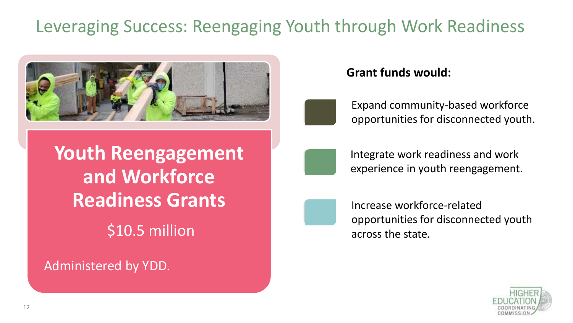### Leveraging Success: Reengaging Youth through Work Readiness



#### **Grant funds would:**



Expand community-based workforce opportunities for disconnected youth.

**Youth Reengagement and Workforce Readiness Grants** \$10.5 million

Administered by YDD.



Integrate work readiness and work experience in youth reengagement.



Increase workforce-related opportunities for disconnected youth across the state.

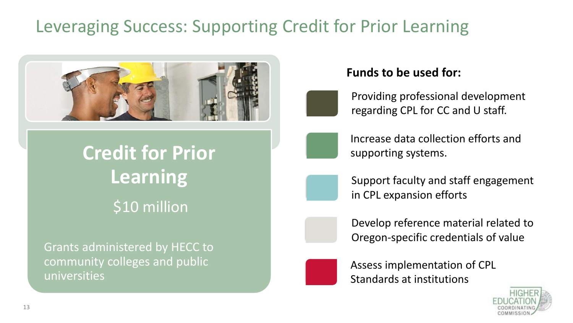### Leveraging Success: Supporting Credit for Prior Learning



## **Credit for Prior Learning**  \$10 million

Grants administered by HECC to community colleges and public universities

#### **Funds to be used for:**

Providing professional development regarding CPL for CC and U staff.



Increase data collection efforts and supporting systems.



Support faculty and staff engagement in CPL expansion efforts





Assess implementation of CPL Standards at institutions

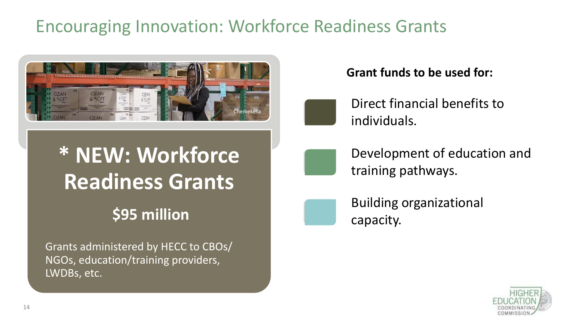### Encouraging Innovation: Workforce Readiness Grants



# **\* NEW: Workforce Readiness Grants**

### **\$95 million**

Grants administered by HECC to CBOs/ NGOs, education/training providers, LWDBs, etc.

#### **Grant funds to be used for:**



Direct financial benefits to individuals.



Development of education and training pathways.



Building organizational capacity.

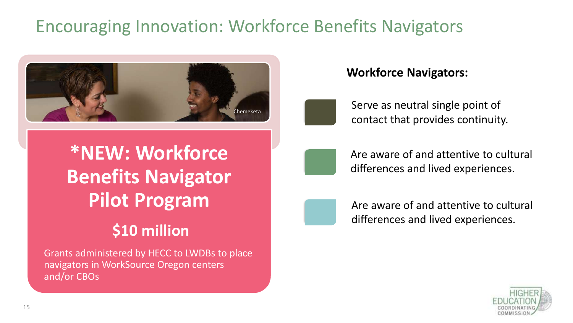### Encouraging Innovation: Workforce Benefits Navigators



#### **Workforce Navigators:**

Serve as neutral single point of contact that provides continuity.

## **\*NEW: Workforce Benefits Navigator Pilot Program**

### **\$10 million**

Grants administered by HECC to LWDBs to place navigators in WorkSource Oregon centers and/or CBOs



Are aware of and attentive to cultural differences and lived experiences.



Are aware of and attentive to cultural differences and lived experiences.

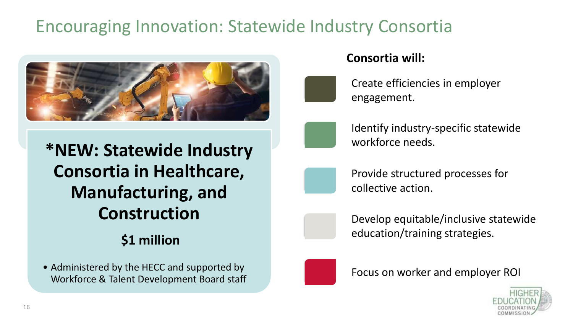### Encouraging Innovation: Statewide Industry Consortia



**\*NEW: Statewide Industry Consortia in Healthcare, Manufacturing, and Construction**

### **\$1 million**

• Administered by the HECC and supported by Workforce & Talent Development Board staff

#### **Consortia will:**

Create efficiencies in employer engagement.



Identify industry-specific statewide workforce needs.

Provide structured processes for collective action.

Develop equitable/inclusive statewide education/training strategies.



Focus on worker and employer ROI

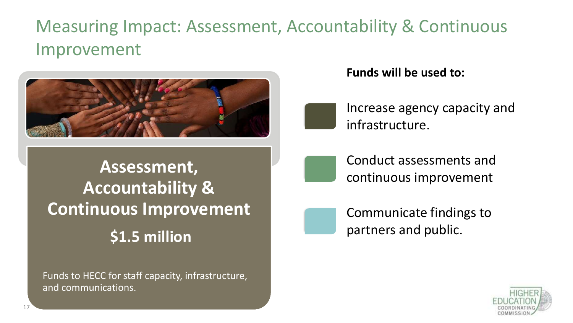### Measuring Impact: Assessment, Accountability & Continuous Improvement



#### **Funds will be used to:**

Increase agency capacity and infrastructure.

**Assessment, Accountability & Continuous Improvement \$1.5 million**

Funds to HECC for staff capacity, infrastructure, and communications.



Conduct assessments and continuous improvement